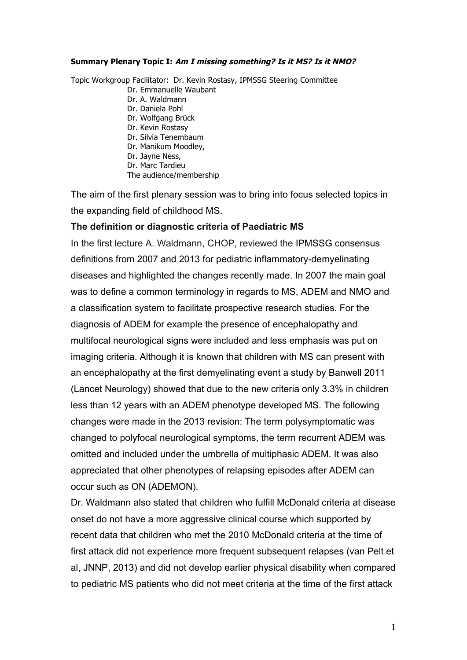### **Summary Plenary Topic I: Am I missing something? Is it MS? Is it NMO?**

Topic Workgroup Facilitator: Dr. Kevin Rostasy, IPMSSG Steering Committee Dr. Emmanuelle Waubant Dr. A. Waldmann Dr. Daniela Pohl Dr. Wolfgang Brück Dr. Kevin Rostasy Dr. Silvia Tenembaum Dr. Manikum Moodley, Dr. Jayne Ness, Dr. Marc Tardieu The audience/membership

The aim of the first plenary session was to bring into focus selected topics in the expanding field of childhood MS.

### **The definition or diagnostic criteria of Paediatric MS**

In the first lecture A. Waldmann, CHOP, reviewed the IPMSSG consensus definitions from 2007 and 2013 for pediatric inflammatory-demyelinating diseases and highlighted the changes recently made. In 2007 the main goal was to define a common terminology in regards to MS, ADEM and NMO and a classification system to facilitate prospective research studies. For the diagnosis of ADEM for example the presence of encephalopathy and multifocal neurological signs were included and less emphasis was put on imaging criteria. Although it is known that children with MS can present with an encephalopathy at the first demyelinating event a study by Banwell 2011 (Lancet Neurology) showed that due to the new criteria only 3.3% in children less than 12 years with an ADEM phenotype developed MS. The following changes were made in the 2013 revision: The term polysymptomatic was changed to polyfocal neurological symptoms, the term recurrent ADEM was omitted and included under the umbrella of multiphasic ADEM. It was also appreciated that other phenotypes of relapsing episodes after ADEM can occur such as ON (ADEMON).

Dr. Waldmann also stated that children who fulfill McDonald criteria at disease onset do not have a more aggressive clinical course which supported by recent data that children who met the 2010 McDonald criteria at the time of first attack did not experience more frequent subsequent relapses (van Pelt et al, JNNP, 2013) and did not develop earlier physical disability when compared to pediatric MS patients who did not meet criteria at the time of the first attack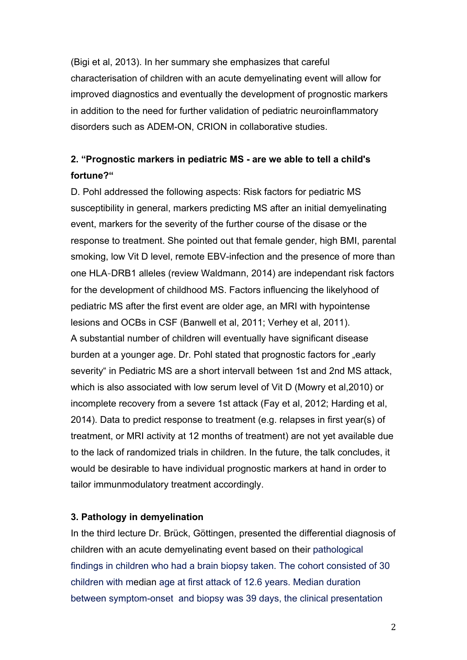(Bigi et al, 2013). In her summary she emphasizes that careful characterisation of children with an acute demyelinating event will allow for improved diagnostics and eventually the development of prognostic markers in addition to the need for further validation of pediatric neuroinflammatory disorders such as ADEM-ON, CRION in collaborative studies.

# **2. "Prognostic markers in pediatric MS - are we able to tell a child's fortune?"**

D. Pohl addressed the following aspects: Risk factors for pediatric MS susceptibility in general, markers predicting MS after an initial demyelinating event, markers for the severity of the further course of the disase or the response to treatment. She pointed out that female gender, high BMI, parental smoking, low Vit D level, remote EBV-infection and the presence of more than one HLA‐DRB1 alleles (review Waldmann, 2014) are independant risk factors for the development of childhood MS. Factors influencing the likelyhood of pediatric MS after the first event are older age, an MRI with hypointense lesions and OCBs in CSF (Banwell et al, 2011; Verhey et al, 2011). A substantial number of children will eventually have significant disease burden at a younger age. Dr. Pohl stated that prognostic factors for "early severity" in Pediatric MS are a short intervall between 1st and 2nd MS attack, which is also associated with low serum level of Vit D (Mowry et al,2010) or incomplete recovery from a severe 1st attack (Fay et al, 2012; Harding et al, 2014). Data to predict response to treatment (e.g. relapses in first year(s) of treatment, or MRI activity at 12 months of treatment) are not yet available due to the lack of randomized trials in children. In the future, the talk concludes, it would be desirable to have individual prognostic markers at hand in order to tailor immunmodulatory treatment accordingly.

# **3. Pathology in demyelination**

In the third lecture Dr. Brück, Göttingen, presented the differential diagnosis of children with an acute demyelinating event based on their pathological findings in children who had a brain biopsy taken. The cohort consisted of 30 children with median age at first attack of 12.6 years. Median duration between symptom-onset and biopsy was 39 days, the clinical presentation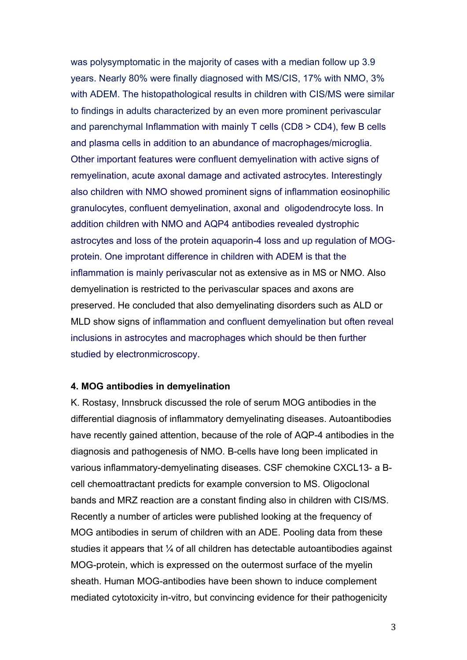was polysymptomatic in the majority of cases with a median follow up 3.9 years. Nearly 80% were finally diagnosed with MS/CIS, 17% with NMO, 3% with ADEM. The histopathological results in children with CIS/MS were similar to findings in adults characterized by an even more prominent perivascular and parenchymal Inflammation with mainly T cells (CD8 > CD4), few B cells and plasma cells in addition to an abundance of macrophages/microglia. Other important features were confluent demyelination with active signs of remyelination, acute axonal damage and activated astrocytes. Interestingly also children with NMO showed prominent signs of inflammation eosinophilic granulocytes, confluent demyelination, axonal and oligodendrocyte loss. In addition children with NMO and AQP4 antibodies revealed dystrophic astrocytes and loss of the protein aquaporin-4 loss and up regulation of MOGprotein. One improtant difference in children with ADEM is that the inflammation is mainly perivascular not as extensive as in MS or NMO. Also demyelination is restricted to the perivascular spaces and axons are preserved. He concluded that also demyelinating disorders such as ALD or MLD show signs of inflammation and confluent demyelination but often reveal inclusions in astrocytes and macrophages which should be then further studied by electronmicroscopy.

#### **4. MOG antibodies in demyelination**

K. Rostasy, Innsbruck discussed the role of serum MOG antibodies in the differential diagnosis of inflammatory demyelinating diseases. Autoantibodies have recently gained attention, because of the role of AQP-4 antibodies in the diagnosis and pathogenesis of NMO. B-cells have long been implicated in various inflammatory-demyelinating diseases. CSF chemokine CXCL13- a Bcell chemoattractant predicts for example conversion to MS. Oligoclonal bands and MRZ reaction are a constant finding also in children with CIS/MS. Recently a number of articles were published looking at the frequency of MOG antibodies in serum of children with an ADE. Pooling data from these studies it appears that ¼ of all children has detectable autoantibodies against MOG-protein, which is expressed on the outermost surface of the myelin sheath. Human MOG-antibodies have been shown to induce complement mediated cytotoxicity in-vitro, but convincing evidence for their pathogenicity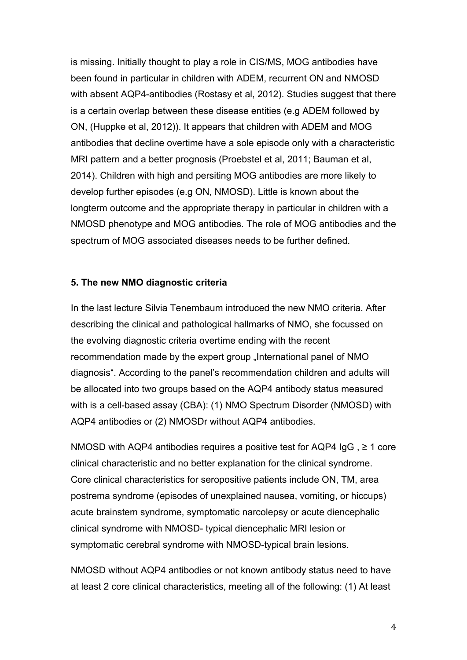is missing. Initially thought to play a role in CIS/MS, MOG antibodies have been found in particular in children with ADEM, recurrent ON and NMOSD with absent AQP4-antibodies (Rostasy et al, 2012). Studies suggest that there is a certain overlap between these disease entities (e.g ADEM followed by ON, (Huppke et al, 2012)). It appears that children with ADEM and MOG antibodies that decline overtime have a sole episode only with a characteristic MRI pattern and a better prognosis (Proebstel et al, 2011; Bauman et al, 2014). Children with high and persiting MOG antibodies are more likely to develop further episodes (e.g ON, NMOSD). Little is known about the longterm outcome and the appropriate therapy in particular in children with a NMOSD phenotype and MOG antibodies. The role of MOG antibodies and the spectrum of MOG associated diseases needs to be further defined.

## **5. The new NMO diagnostic criteria**

In the last lecture Silvia Tenembaum introduced the new NMO criteria. After describing the clinical and pathological hallmarks of NMO, she focussed on the evolving diagnostic criteria overtime ending with the recent recommendation made by the expert group "International panel of NMO" diagnosis". According to the panel's recommendation children and adults will be allocated into two groups based on the AQP4 antibody status measured with is a cell-based assay (CBA): (1) NMO Spectrum Disorder (NMOSD) with AQP4 antibodies or (2) NMOSDr without AQP4 antibodies.

NMOSD with AQP4 antibodies requires a positive test for AQP4  $\lg G$ ,  $\geq$  1 core clinical characteristic and no better explanation for the clinical syndrome. Core clinical characteristics for seropositive patients include ON, TM, area postrema syndrome (episodes of unexplained nausea, vomiting, or hiccups) acute brainstem syndrome, symptomatic narcolepsy or acute diencephalic clinical syndrome with NMOSD- typical diencephalic MRI lesion or symptomatic cerebral syndrome with NMOSD-typical brain lesions.

NMOSD without AQP4 antibodies or not known antibody status need to have at least 2 core clinical characteristics, meeting all of the following: (1) At least